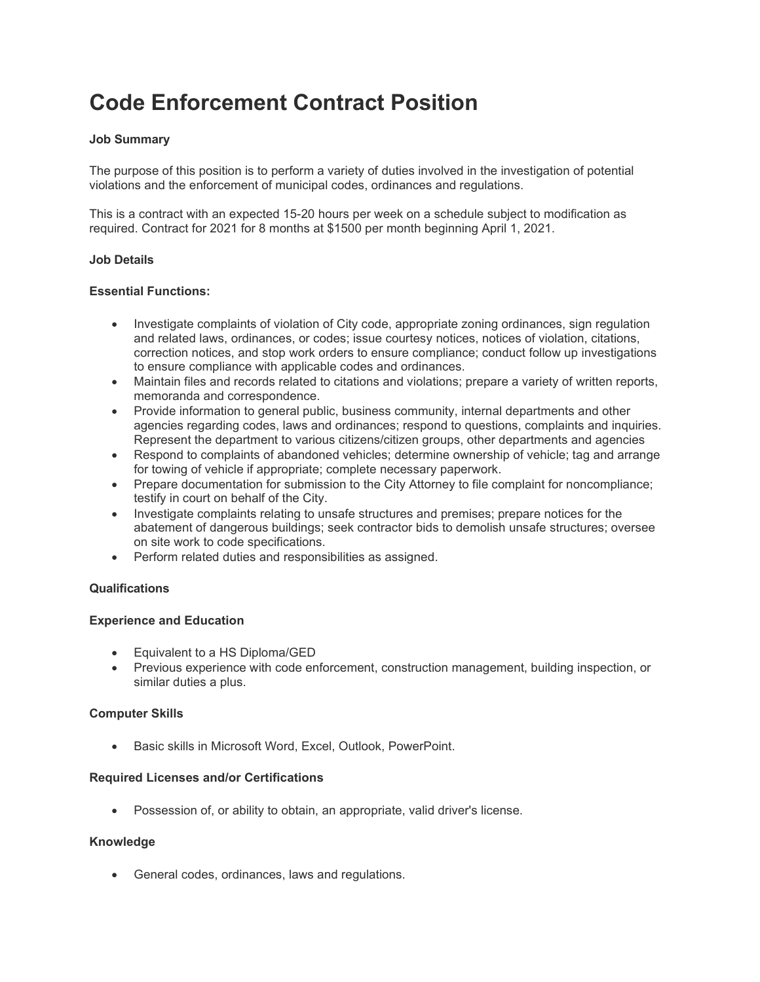# **Code Enforcement Contract Position**

# **Job Summary**

The purpose of this position is to perform a variety of duties involved in the investigation of potential violations and the enforcement of municipal codes, ordinances and regulations.

This is a contract with an expected 15-20 hours per week on a schedule subject to modification as required. Contract for 2021 for 8 months at \$1500 per month beginning April 1, 2021.

### **Job Details**

### **Essential Functions:**

- Investigate complaints of violation of City code, appropriate zoning ordinances, sign regulation and related laws, ordinances, or codes; issue courtesy notices, notices of violation, citations, correction notices, and stop work orders to ensure compliance; conduct follow up investigations to ensure compliance with applicable codes and ordinances.
- Maintain files and records related to citations and violations; prepare a variety of written reports, memoranda and correspondence.
- Provide information to general public, business community, internal departments and other agencies regarding codes, laws and ordinances; respond to questions, complaints and inquiries. Represent the department to various citizens/citizen groups, other departments and agencies
- Respond to complaints of abandoned vehicles; determine ownership of vehicle; tag and arrange for towing of vehicle if appropriate; complete necessary paperwork.
- Prepare documentation for submission to the City Attorney to file complaint for noncompliance; testify in court on behalf of the City.
- Investigate complaints relating to unsafe structures and premises; prepare notices for the abatement of dangerous buildings; seek contractor bids to demolish unsafe structures; oversee on site work to code specifications.
- Perform related duties and responsibilities as assigned.

## **Qualifications**

## **Experience and Education**

- Equivalent to a HS Diploma/GED
- Previous experience with code enforcement, construction management, building inspection, or similar duties a plus.

#### **Computer Skills**

• Basic skills in Microsoft Word, Excel, Outlook, PowerPoint.

#### **Required Licenses and/or Certifications**

• Possession of, or ability to obtain, an appropriate, valid driver's license.

#### **Knowledge**

• General codes, ordinances, laws and regulations.